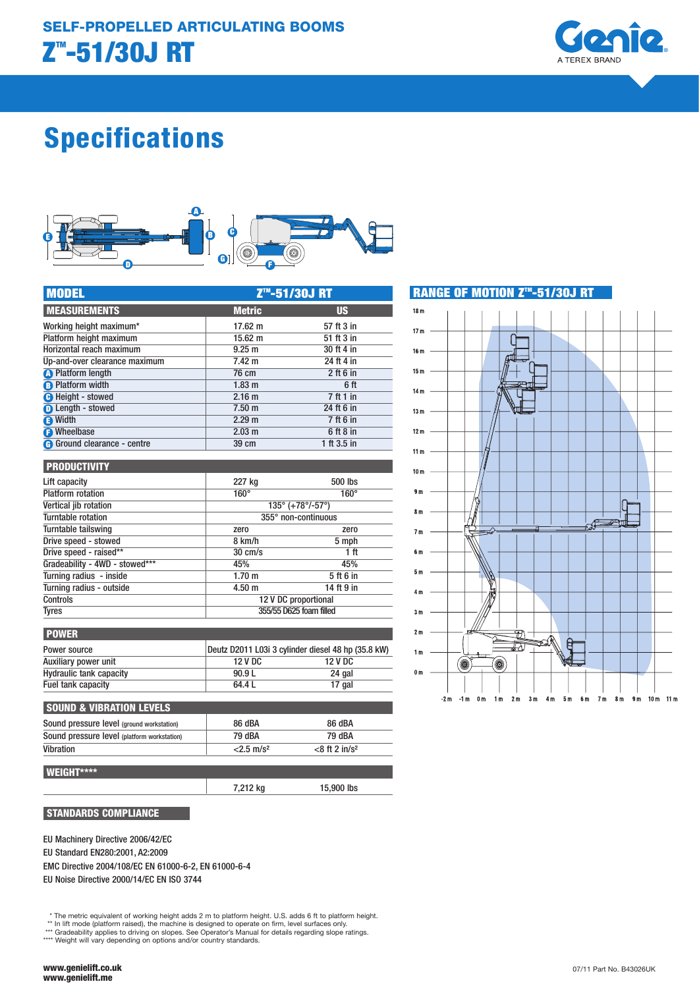

# Specifications



| <b>MODEL</b>                       | Z <sup>™</sup> -51/30J RT |             |  |
|------------------------------------|---------------------------|-------------|--|
| <b>MEASUREMENTS</b>                | <b>Metric</b>             | <b>US</b>   |  |
| Working height maximum*            | $17.62 \text{ m}$         | 57 ft 3 in  |  |
| Platform height maximum            | $15.62 \; m$              | 51 ft 3 in  |  |
| Horizontal reach maximum           | 9.25 <sub>m</sub>         | 30 ft 4 in  |  |
| Up-and-over clearance maximum      | $7.42 \text{ m}$          | 24 ft 4 in  |  |
| <b>O</b> Platform length           | 76 cm                     | $2$ ft 6 in |  |
| <b>B</b> Platform width            | 1.83 <sub>m</sub>         | 6 ft        |  |
| <b>O</b> Height - stowed           | 2.16 <sub>m</sub>         | 7 ft 1 in   |  |
| <b>O</b> Length - stowed           | 7.50 <sub>m</sub>         | 24 ft 6 in  |  |
| <b>B</b> Width                     | 2.29 <sub>m</sub>         | 7 ft 6 in   |  |
| <b>B</b> Wheelbase                 | 2.03 <sub>m</sub>         | 6 ft 8 in   |  |
| <b>G</b> Ground clearance - centre | 39 cm                     | 1 ft 3.5 in |  |

| <b>PRODUCTIVITY</b>            |                                                 |                         |  |
|--------------------------------|-------------------------------------------------|-------------------------|--|
| Lift capacity                  | 227 kg                                          | 500 lbs                 |  |
| <b>Platform rotation</b>       | $160^\circ$                                     | $160^\circ$             |  |
| Vertical jib rotation          | $135^{\circ}$ (+78 $^{\circ}$ /-57 $^{\circ}$ ) |                         |  |
| Turntable rotation             | 355° non-continuous                             |                         |  |
| Turntable tailswing            | zero                                            | zero                    |  |
| Drive speed - stowed           | 8 km/h                                          | 5 mph                   |  |
| Drive speed - raised**         | $30 \text{ cm/s}$                               | 1 ft                    |  |
| Gradeability - 4WD - stowed*** | 45%                                             | 45%                     |  |
| Turning radius - inside        | 1.70 m                                          | 5 ft 6 in               |  |
| Turning radius - outside       | 4.50 m                                          | 14 ft 9 in              |  |
| <b>Controls</b>                |                                                 | 12 V DC proportional    |  |
| <b>Tyres</b>                   |                                                 | 355/55 D625 foam filled |  |

| <b>POWER</b>                   |                |                                                    |
|--------------------------------|----------------|----------------------------------------------------|
| Power source                   |                | Deutz D2011 L03i 3 cylinder diesel 48 hp (35.8 kW) |
| Auxiliary power unit           | <b>12 V DC</b> | 12 V DC                                            |
| <b>Hydraulic tank capacity</b> | 90.9L          | 24 gal                                             |
| Fuel tank capacity             | 64.4 L         | 17 gal                                             |
|                                |                |                                                    |

| <b>SOUND &amp; VIBRATION LEVELS</b>         |                          |                              |
|---------------------------------------------|--------------------------|------------------------------|
| Sound pressure level (ground workstation)   | 86 dBA                   | 86 dBA                       |
| Sound pressure level (platform workstation) | 79 dBA                   | 79 dBA                       |
| Vibration                                   | $<$ 2.5 m/s <sup>2</sup> | $<$ 8 ft 2 in/s <sup>2</sup> |
|                                             |                          |                              |

7,212 kg 15,900 lbs

# WEIGHT\*\*\*\*

STANDARDS COMPLIANCE

EU Machinery Directive 2006/42/EC

EU Standard EN280:2001, A2:2009

EMC Directive 2004/108/EC EN 61000-6-2, EN 61000-6-4 EU Noise Directive 2000/14/EC EN ISO 3744

\* The metric equivalent of working height adds 2 m to platform height. U.S. adds 6 ft to platform height.

\*\* In lift mode (platform raised), the machine is designed to operate on firm, level surfaces only. \*\*\* Gradeability applies to driving on slopes. See Operator's Manual for details regarding slope ratings.

\*\*\*\* Weight will vary depending on options and/or country standards.